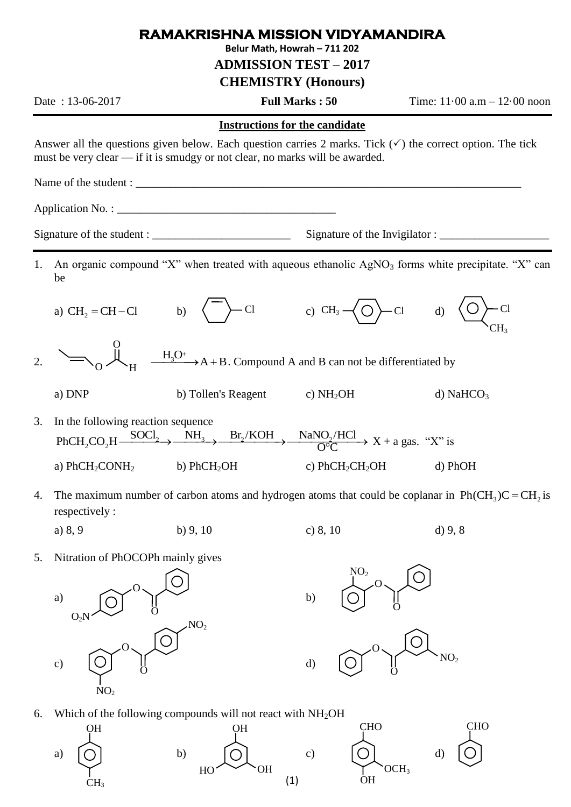## **RAMAKRISHNA MISSION VIDYAMANDIRA**

**Belur Math, Howrah – 711 202**

**ADMISSION TEST – 2017**

**CHEMISTRY (Honours)**

Date : 13-06-2017 **Full Marks : 50** Time: 11·00 a.m – 12·00 noon

## **Instructions for the candidate**

Answer all the questions given below. Each question carries 2 marks. Tick  $(\checkmark)$  the correct option. The tick must be very clear — if it is smudgy or not clear, no marks will be awarded.

Name of the student : \_\_\_\_\_\_\_\_\_\_\_\_\_\_\_\_\_\_\_\_\_\_\_\_\_\_\_\_\_\_\_\_\_\_\_\_\_\_\_\_\_\_\_\_\_\_\_\_\_\_\_\_\_\_\_\_\_\_\_\_\_\_\_\_\_\_\_

Application No. :

2.

Signature of the student : \_\_\_\_\_\_\_\_\_\_\_\_\_\_\_\_\_\_\_\_\_\_\_\_ Signature of the Invigilator : \_\_\_\_\_\_\_\_\_\_\_\_\_\_\_\_\_\_\_

- 1. An organic compound "X" when treated with aqueous ethanolic  $AgNO<sub>3</sub>$  forms white precipitate. "X" can be
	- a)  $CH<sub>2</sub> = CH Cl$ b)  $\left\langle \right\rangle$  Cl c)  $CH_3 \rightarrow O$  Cl d)  $\left\langle O \right\rangle$ -Cl CH3
	- $\frac{H_3O^+}{\longrightarrow}$  A + B. Compound A and B can not be differentiated by O  $_{\rm 0}$   $\sim$  H
	- a) DNP b) Tollen's Reagent c) NH<sub>2</sub>OH d) NaHCO<sub>3</sub>
- 3. In the following reaction sequence  $\text{NH}_3$   $\text{Br}_2/\text{KOH}$  $2$  3 DIVI by Tonen's Reagent<br>  $2$  2  $\overline{N}$   $\overline{R}$   $\overline{R}$   $\overline{R}$   $\overline{R}$   $\overline{R}$   $\overline{R}$   $\overline{R}$   $\overline{R}$   $\overline{R}$   $\overline{R}$   $\overline{R}$   $\overline{R}$   $\overline{R}$   $\overline{R}$   $\overline{R}$   $\overline{R}$   $\overline{R}$   $\overline{R}$   $\overline{R}$   $\overline$  $\frac{\text{NaNO}_2/\text{HCl}}{\text{O}^{\circ}\text{C}}$  X + a gas. "X" is a)  $PhCH_2CONH_2$  b)  $PhCH_2OH$  c)  $PhCH_2CH_2OH$  d)  $PhOH$
- 4. The maximum number of carbon atoms and hydrogen atoms that could be coplanar in  $Ph(CH_3)C = CH_2$  is respectively :
	- a) 8, 9 b) 9, 10 c) 8, 10 d) 9, 8
		-







6. Which of the following compounds will not react with  $NH<sub>2</sub>OH$ 



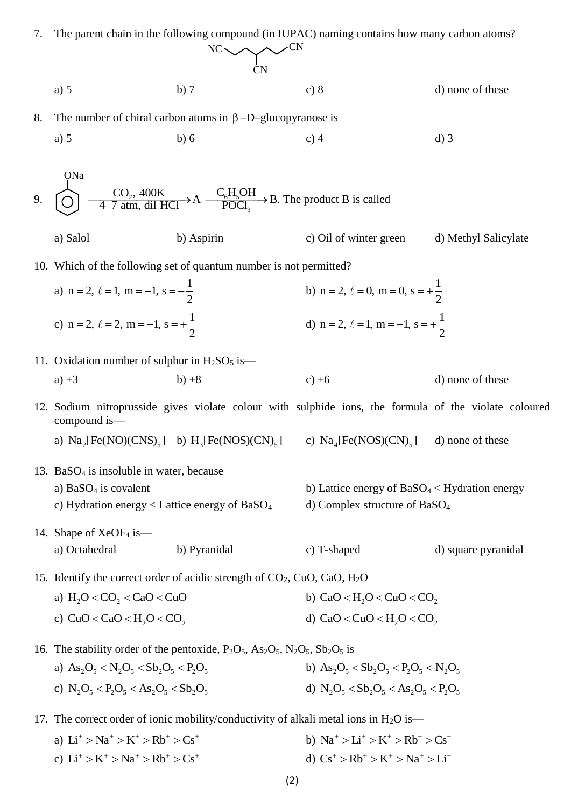| 7. | The parent chain in the following compound (in IUPAC) naming contains how many carbon atoms?                                                                            |                                                                                                                                                               |                                                                                                                                    |                      |
|----|-------------------------------------------------------------------------------------------------------------------------------------------------------------------------|---------------------------------------------------------------------------------------------------------------------------------------------------------------|------------------------------------------------------------------------------------------------------------------------------------|----------------------|
|    | $NC \sim C N$                                                                                                                                                           |                                                                                                                                                               |                                                                                                                                    |                      |
|    | a) 5                                                                                                                                                                    | b)7                                                                                                                                                           | c) 8                                                                                                                               | d) none of these     |
| 8. | The number of chiral carbon atoms in $\beta$ -D-glucopyranose is                                                                                                        |                                                                                                                                                               |                                                                                                                                    |                      |
|    | a) 5                                                                                                                                                                    | b)6                                                                                                                                                           | $c)$ 4                                                                                                                             | $d)$ 3               |
|    | ONa                                                                                                                                                                     |                                                                                                                                                               |                                                                                                                                    |                      |
| 9. | $\bigodot$ $\bigodot$ $\bigodot$ $\bigodot$ <sub>2</sub> , 400K $\bigodot$ $\bigodot$ <sub>6</sub> H <sub>2</sub> OH $\bigodot$ <sub>3</sub> B. The product B is called |                                                                                                                                                               |                                                                                                                                    |                      |
|    | a) Salol                                                                                                                                                                | b) Aspirin                                                                                                                                                    | c) Oil of winter green                                                                                                             | d) Methyl Salicylate |
|    | 10. Which of the following set of quantum number is not permitted?                                                                                                      |                                                                                                                                                               |                                                                                                                                    |                      |
|    | a) $n = 2, \ell = 1, m = -1, s = -\frac{1}{2}$                                                                                                                          |                                                                                                                                                               | b) n = 2, $\ell = 0$ , m = 0, s = + $\frac{1}{2}$                                                                                  |                      |
|    | c) n = 2, $\ell$ = 2, m = -1, s = + $\frac{1}{2}$                                                                                                                       |                                                                                                                                                               | d) n = 2, $\ell$ = 1, m = +1, s = + $\frac{1}{2}$                                                                                  |                      |
|    | 11. Oxidation number of sulphur in $H_2SO_5$ is—                                                                                                                        |                                                                                                                                                               |                                                                                                                                    |                      |
|    | $a) +3$                                                                                                                                                                 | $b) +8$                                                                                                                                                       | $c) +6$                                                                                                                            | d) none of these     |
|    | 12. Sodium nitroprusside gives violate colour with sulphide ions, the formula of the violate coloured<br>compound is—                                                   |                                                                                                                                                               |                                                                                                                                    |                      |
|    |                                                                                                                                                                         | a) $\text{Na}_2[\text{Fe}(\text{NO})(\text{CNS})_5]$ b) $\text{H}_2[\text{Fe}(\text{NOS})(\text{CN})_5]$ c) $\text{Na}_4[\text{Fe}(\text{NOS})(\text{CN})_5]$ |                                                                                                                                    | d) none of these     |
|    | 13. Ba $SO_4$ is insoluble in water, because                                                                                                                            |                                                                                                                                                               |                                                                                                                                    |                      |
|    | a) $BaSO4$ is covalent                                                                                                                                                  |                                                                                                                                                               | b) Lattice energy of $BaSO4 < Hydration$ energy                                                                                    |                      |
|    |                                                                                                                                                                         | c) Hydration energy < Lattice energy of $BaSO4$<br>d) Complex structure of $BaSO4$                                                                            |                                                                                                                                    |                      |
|    | 14. Shape of $XeOF_4$ is —                                                                                                                                              |                                                                                                                                                               |                                                                                                                                    |                      |
|    | a) Octahedral                                                                                                                                                           | b) Pyranidal                                                                                                                                                  | c) T-shaped                                                                                                                        | d) square pyranidal  |
|    | 15. Identify the correct order of acidic strength of $CO_2$ , CuO, CaO, H <sub>2</sub> O                                                                                |                                                                                                                                                               |                                                                                                                                    |                      |
|    | a) $H2O < CO2 < CaO < CuO$                                                                                                                                              |                                                                                                                                                               | b) $CaO < H$ , $O < CuO < CO$ ,                                                                                                    |                      |
|    | c) $CuO < CaO < H2O < CO2$                                                                                                                                              |                                                                                                                                                               | d) CaO < CuO < H <sub>2</sub> O < CO <sub>2</sub>                                                                                  |                      |
|    | 16. The stability order of the pentoxide, $P_2O_5$ , $As_2O_5$ , $N_2O_5$ , $Sb_2O_5$ is                                                                                |                                                                                                                                                               |                                                                                                                                    |                      |
|    | a) $As_2O_5 < N_2O_5 < Sb_2O_5 < P_2O_5$                                                                                                                                |                                                                                                                                                               | b) As <sub>2</sub> O <sub>5</sub> < Sb <sub>2</sub> O <sub>5</sub> < P <sub>2</sub> O <sub>5</sub> < N <sub>2</sub> O <sub>5</sub> |                      |
|    |                                                                                                                                                                         | d) $N_2O_5 < Sb_2O_5 < As_2O_5 < P_2O_5$<br>c) $N_2O_5 < P_2O_5 < As_2O_5 < Sb_2O_5$                                                                          |                                                                                                                                    |                      |
|    | 17. The correct order of ionic mobility/conductivity of alkali metal ions in $H_2O$ is—                                                                                 |                                                                                                                                                               |                                                                                                                                    |                      |
|    | a) $Li^+ > Na^+ > K^+ > Rb^+ > Cs^+$                                                                                                                                    |                                                                                                                                                               | b) $Na^+ > Li^+ > K^+ > Rb^+ > Cs^+$                                                                                               |                      |
|    | c) $Li^+ > K^+ > Na^+ > Rb^+ > Cs^+$                                                                                                                                    |                                                                                                                                                               | d) $Cs^+ > Rb^+ > K^+ > Na^+ > Li^+$                                                                                               |                      |

(2)